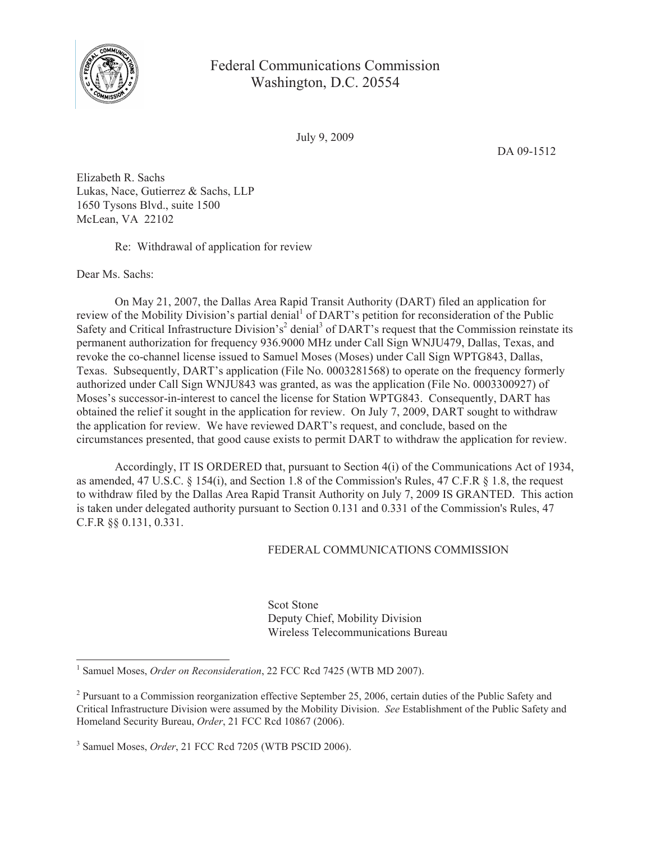

## Federal Communications Commission Washington, D.C. 20554

July 9, 2009

DA 09-1512

Elizabeth R. Sachs Lukas, Nace, Gutierrez & Sachs, LLP 1650 Tysons Blvd., suite 1500 McLean, VA 22102

Re: Withdrawal of application for review

Dear Ms. Sachs:

On May 21, 2007, the Dallas Area Rapid Transit Authority (DART) filed an application for review of the Mobility Division's partial denial<sup>1</sup> of DART's petition for reconsideration of the Public Safety and Critical Infrastructure Division's<sup>2</sup> denial<sup>3</sup> of DART's request that the Commission reinstate its permanent authorization for frequency 936.9000 MHz under Call Sign WNJU479, Dallas, Texas, and revoke the co-channel license issued to Samuel Moses (Moses) under Call Sign WPTG843, Dallas, Texas. Subsequently, DART's application (File No. 0003281568) to operate on the frequency formerly authorized under Call Sign WNJU843 was granted, as was the application (File No. 0003300927) of Moses's successor-in-interest to cancel the license for Station WPTG843. Consequently, DART has obtained the relief it sought in the application for review. On July 7, 2009, DART sought to withdraw the application for review. We have reviewed DART's request, and conclude, based on the circumstances presented, that good cause exists to permit DART to withdraw the application for review.

Accordingly, IT IS ORDERED that, pursuant to Section 4(i) of the Communications Act of 1934, as amended, 47 U.S.C. § 154(i), and Section 1.8 of the Commission's Rules, 47 C.F.R § 1.8, the request to withdraw filed by the Dallas Area Rapid Transit Authority on July 7, 2009 IS GRANTED. This action is taken under delegated authority pursuant to Section 0.131 and 0.331 of the Commission's Rules, 47 C.F.R §§ 0.131, 0.331.

## FEDERAL COMMUNICATIONS COMMISSION

Scot Stone Deputy Chief, Mobility Division Wireless Telecommunications Bureau

<sup>&</sup>lt;sup>1</sup> Samuel Moses, Order on Reconsideration, 22 FCC Rcd 7425 (WTB MD 2007).

 $2^2$  Pursuant to a Commission reorganization effective September 25, 2006, certain duties of the Public Safety and Critical Infrastructure Division were assumed by the Mobility Division. *See* Establishment of the Public Safety and Homeland Security Bureau, *Order*, 21 FCC Rcd 10867 (2006).

<sup>3</sup> Samuel Moses, *Order*, 21 FCC Rcd 7205 (WTB PSCID 2006).